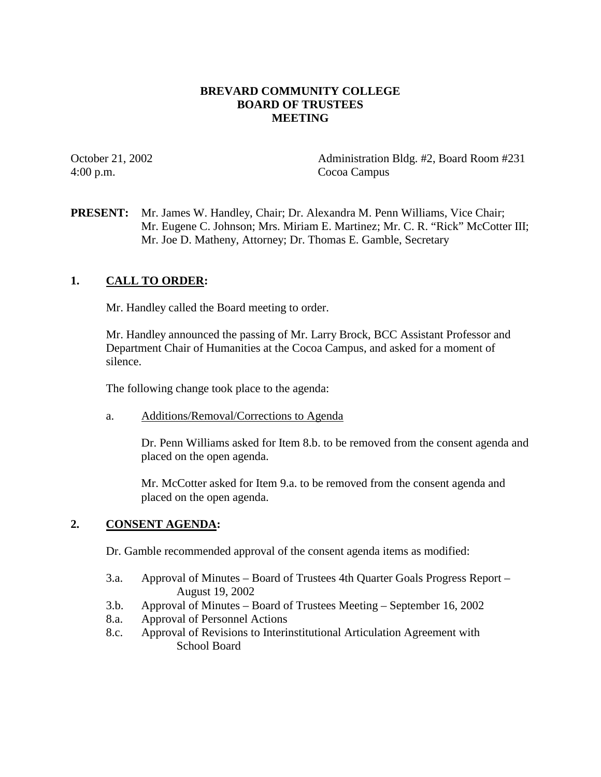## **BREVARD COMMUNITY COLLEGE BOARD OF TRUSTEES MEETING**

4:00 p.m. Cocoa Campus

October 21, 2002 Administration Bldg. #2, Board Room #231

**PRESENT:** Mr. James W. Handley, Chair; Dr. Alexandra M. Penn Williams, Vice Chair; Mr. Eugene C. Johnson; Mrs. Miriam E. Martinez; Mr. C. R. "Rick" McCotter III; Mr. Joe D. Matheny, Attorney; Dr. Thomas E. Gamble, Secretary

## **1. CALL TO ORDER:**

Mr. Handley called the Board meeting to order.

Mr. Handley announced the passing of Mr. Larry Brock, BCC Assistant Professor and Department Chair of Humanities at the Cocoa Campus, and asked for a moment of silence.

The following change took place to the agenda:

a. Additions/Removal/Corrections to Agenda

Dr. Penn Williams asked for Item 8.b. to be removed from the consent agenda and placed on the open agenda.

Mr. McCotter asked for Item 9.a. to be removed from the consent agenda and placed on the open agenda.

### **2. CONSENT AGENDA:**

Dr. Gamble recommended approval of the consent agenda items as modified:

- 3.a. Approval of Minutes Board of Trustees 4th Quarter Goals Progress Report August 19, 2002
- 3.b. Approval of Minutes Board of Trustees Meeting September 16, 2002
- 8.a. Approval of Personnel Actions
- 8.c. Approval of Revisions to Interinstitutional Articulation Agreement with School Board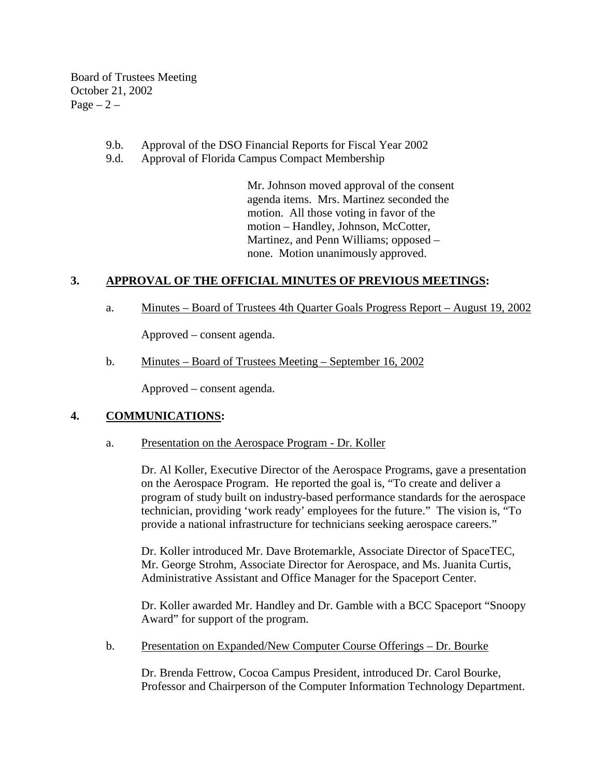Board of Trustees Meeting October 21, 2002  $Page - 2 -$ 

- 9.b. Approval of the DSO Financial Reports for Fiscal Year 2002
- 9.d. Approval of Florida Campus Compact Membership

Mr. Johnson moved approval of the consent agenda items. Mrs. Martinez seconded the motion. All those voting in favor of the motion – Handley, Johnson, McCotter, Martinez, and Penn Williams; opposed – none. Motion unanimously approved.

## **3. APPROVAL OF THE OFFICIAL MINUTES OF PREVIOUS MEETINGS:**

a. Minutes – Board of Trustees 4th Quarter Goals Progress Report – August 19, 2002

Approved – consent agenda.

b. Minutes – Board of Trustees Meeting – September 16, 2002

Approved – consent agenda.

### **4. COMMUNICATIONS:**

a. Presentation on the Aerospace Program - Dr. Koller

Dr. Al Koller, Executive Director of the Aerospace Programs, gave a presentation on the Aerospace Program. He reported the goal is, "To create and deliver a program of study built on industry-based performance standards for the aerospace technician, providing 'work ready' employees for the future." The vision is, "To provide a national infrastructure for technicians seeking aerospace careers."

Dr. Koller introduced Mr. Dave Brotemarkle, Associate Director of SpaceTEC, Mr. George Strohm, Associate Director for Aerospace, and Ms. Juanita Curtis, Administrative Assistant and Office Manager for the Spaceport Center.

Dr. Koller awarded Mr. Handley and Dr. Gamble with a BCC Spaceport "Snoopy Award" for support of the program.

b. Presentation on Expanded/New Computer Course Offerings – Dr. Bourke

Dr. Brenda Fettrow, Cocoa Campus President, introduced Dr. Carol Bourke, Professor and Chairperson of the Computer Information Technology Department.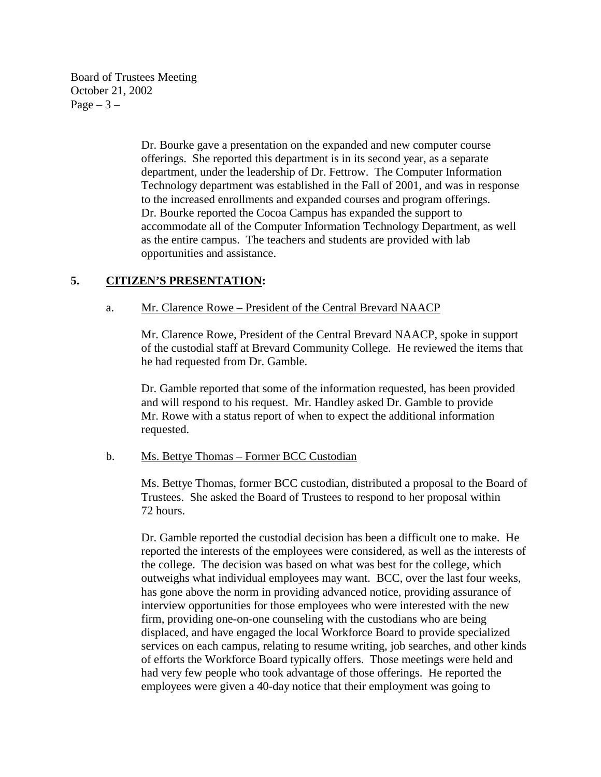Board of Trustees Meeting October 21, 2002 Page  $-3-$ 

> Dr. Bourke gave a presentation on the expanded and new computer course offerings. She reported this department is in its second year, as a separate department, under the leadership of Dr. Fettrow. The Computer Information Technology department was established in the Fall of 2001, and was in response to the increased enrollments and expanded courses and program offerings. Dr. Bourke reported the Cocoa Campus has expanded the support to accommodate all of the Computer Information Technology Department, as well as the entire campus. The teachers and students are provided with lab opportunities and assistance.

## **5. CITIZEN'S PRESENTATION:**

### a. Mr. Clarence Rowe – President of the Central Brevard NAACP

Mr. Clarence Rowe, President of the Central Brevard NAACP, spoke in support of the custodial staff at Brevard Community College. He reviewed the items that he had requested from Dr. Gamble.

Dr. Gamble reported that some of the information requested, has been provided and will respond to his request. Mr. Handley asked Dr. Gamble to provide Mr. Rowe with a status report of when to expect the additional information requested.

#### b. Ms. Bettye Thomas – Former BCC Custodian

Ms. Bettye Thomas, former BCC custodian, distributed a proposal to the Board of Trustees. She asked the Board of Trustees to respond to her proposal within 72 hours.

Dr. Gamble reported the custodial decision has been a difficult one to make. He reported the interests of the employees were considered, as well as the interests of the college. The decision was based on what was best for the college, which outweighs what individual employees may want. BCC, over the last four weeks, has gone above the norm in providing advanced notice, providing assurance of interview opportunities for those employees who were interested with the new firm, providing one-on-one counseling with the custodians who are being displaced, and have engaged the local Workforce Board to provide specialized services on each campus, relating to resume writing, job searches, and other kinds of efforts the Workforce Board typically offers. Those meetings were held and had very few people who took advantage of those offerings. He reported the employees were given a 40-day notice that their employment was going to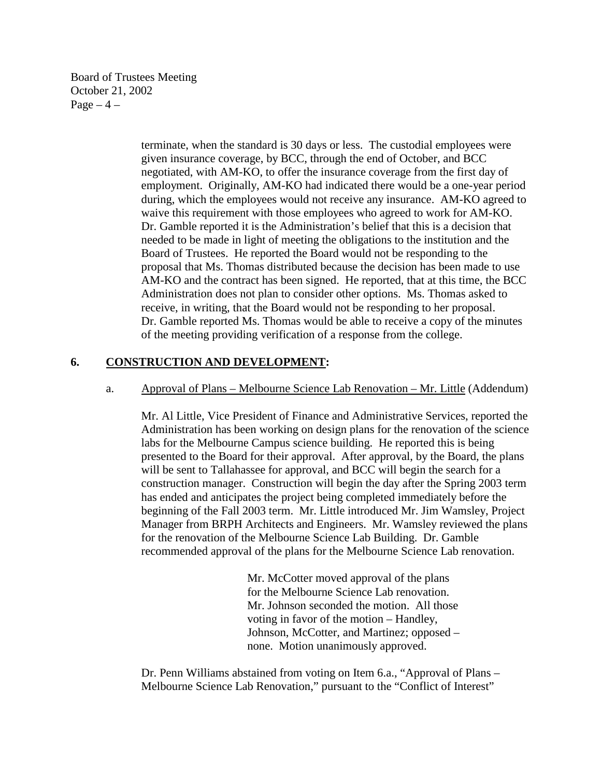Board of Trustees Meeting October 21, 2002  $Page-4$  –

> terminate, when the standard is 30 days or less. The custodial employees were given insurance coverage, by BCC, through the end of October, and BCC negotiated, with AM-KO, to offer the insurance coverage from the first day of employment. Originally, AM-KO had indicated there would be a one-year period during, which the employees would not receive any insurance. AM-KO agreed to waive this requirement with those employees who agreed to work for AM-KO. Dr. Gamble reported it is the Administration's belief that this is a decision that needed to be made in light of meeting the obligations to the institution and the Board of Trustees. He reported the Board would not be responding to the proposal that Ms. Thomas distributed because the decision has been made to use AM-KO and the contract has been signed. He reported, that at this time, the BCC Administration does not plan to consider other options. Ms. Thomas asked to receive, in writing, that the Board would not be responding to her proposal. Dr. Gamble reported Ms. Thomas would be able to receive a copy of the minutes of the meeting providing verification of a response from the college.

## **6. CONSTRUCTION AND DEVELOPMENT:**

#### a. Approval of Plans – Melbourne Science Lab Renovation – Mr. Little (Addendum)

Mr. Al Little, Vice President of Finance and Administrative Services, reported the Administration has been working on design plans for the renovation of the science labs for the Melbourne Campus science building. He reported this is being presented to the Board for their approval. After approval, by the Board, the plans will be sent to Tallahassee for approval, and BCC will begin the search for a construction manager. Construction will begin the day after the Spring 2003 term has ended and anticipates the project being completed immediately before the beginning of the Fall 2003 term. Mr. Little introduced Mr. Jim Wamsley, Project Manager from BRPH Architects and Engineers. Mr. Wamsley reviewed the plans for the renovation of the Melbourne Science Lab Building. Dr. Gamble recommended approval of the plans for the Melbourne Science Lab renovation.

> Mr. McCotter moved approval of the plans for the Melbourne Science Lab renovation. Mr. Johnson seconded the motion. All those voting in favor of the motion – Handley, Johnson, McCotter, and Martinez; opposed – none. Motion unanimously approved.

Dr. Penn Williams abstained from voting on Item 6.a., "Approval of Plans – Melbourne Science Lab Renovation," pursuant to the "Conflict of Interest"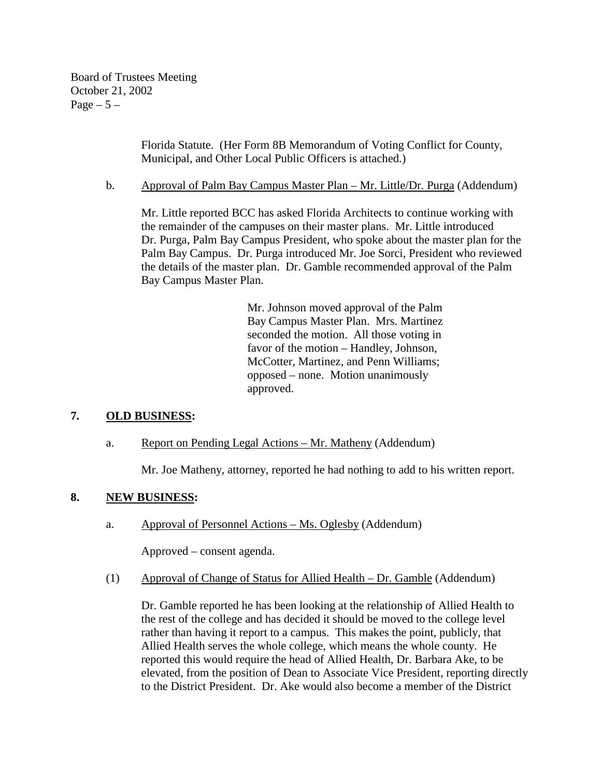Board of Trustees Meeting October 21, 2002 Page  $-5-$ 

> Florida Statute. (Her Form 8B Memorandum of Voting Conflict for County, Municipal, and Other Local Public Officers is attached.)

b. Approval of Palm Bay Campus Master Plan – Mr. Little/Dr. Purga (Addendum)

Mr. Little reported BCC has asked Florida Architects to continue working with the remainder of the campuses on their master plans. Mr. Little introduced Dr. Purga, Palm Bay Campus President, who spoke about the master plan for the Palm Bay Campus. Dr. Purga introduced Mr. Joe Sorci, President who reviewed the details of the master plan. Dr. Gamble recommended approval of the Palm Bay Campus Master Plan.

> Mr. Johnson moved approval of the Palm Bay Campus Master Plan. Mrs. Martinez seconded the motion. All those voting in favor of the motion – Handley, Johnson, McCotter, Martinez, and Penn Williams; opposed – none. Motion unanimously approved.

# **7. OLD BUSINESS:**

### a. Report on Pending Legal Actions – Mr. Matheny (Addendum)

Mr. Joe Matheny, attorney, reported he had nothing to add to his written report.

### **8. NEW BUSINESS:**

a. Approval of Personnel Actions – Ms. Oglesby (Addendum)

Approved – consent agenda.

(1) Approval of Change of Status for Allied Health – Dr. Gamble (Addendum)

Dr. Gamble reported he has been looking at the relationship of Allied Health to the rest of the college and has decided it should be moved to the college level rather than having it report to a campus. This makes the point, publicly, that Allied Health serves the whole college, which means the whole county. He reported this would require the head of Allied Health, Dr. Barbara Ake, to be elevated, from the position of Dean to Associate Vice President, reporting directly to the District President. Dr. Ake would also become a member of the District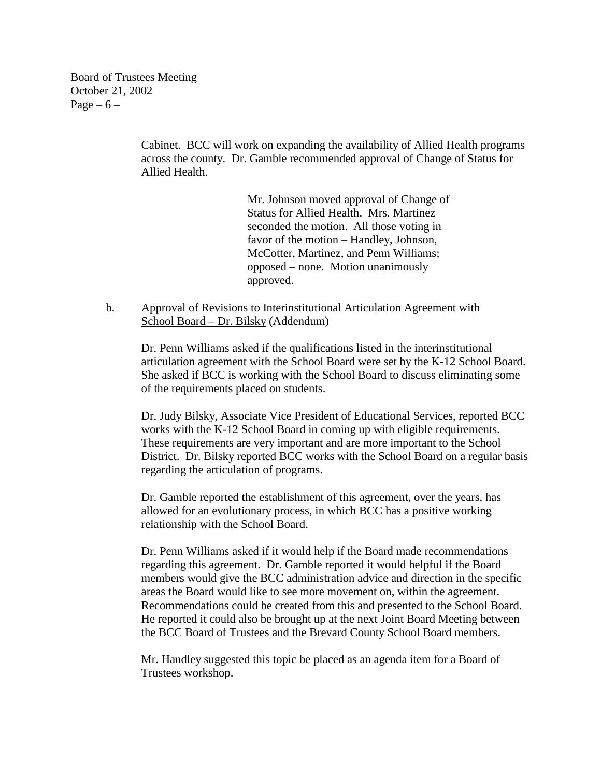Board of Trustees Meeting October 21, 2002 Page  $-6$  –

> Cabinet. BCC will work on expanding the availability of Allied Health programs across the county. Dr. Gamble recommended approval of Change of Status for Allied Health.

> > Mr. Johnson moved approval of Change of Status for Allied Health. Mrs. Martinez seconded the motion. All those voting in favor of the motion – Handley, Johnson, McCotter, Martinez, and Penn Williams; opposed – none. Motion unanimously approved.

 b. Approval of Revisions to Interinstitutional Articulation Agreement with School Board – Dr. Bilsky (Addendum)

Dr. Penn Williams asked if the qualifications listed in the interinstitutional articulation agreement with the School Board were set by the K-12 School Board. She asked if BCC is working with the School Board to discuss eliminating some of the requirements placed on students.

Dr. Judy Bilsky, Associate Vice President of Educational Services, reported BCC works with the K-12 School Board in coming up with eligible requirements. These requirements are very important and are more important to the School District. Dr. Bilsky reported BCC works with the School Board on a regular basis regarding the articulation of programs.

 Dr. Gamble reported the establishment of this agreement, over the years, has allowed for an evolutionary process, in which BCC has a positive working relationship with the School Board.

Dr. Penn Williams asked if it would help if the Board made recommendations regarding this agreement. Dr. Gamble reported it would helpful if the Board members would give the BCC administration advice and direction in the specific areas the Board would like to see more movement on, within the agreement. Recommendations could be created from this and presented to the School Board. He reported it could also be brought up at the next Joint Board Meeting between the BCC Board of Trustees and the Brevard County School Board members.

Mr. Handley suggested this topic be placed as an agenda item for a Board of Trustees workshop.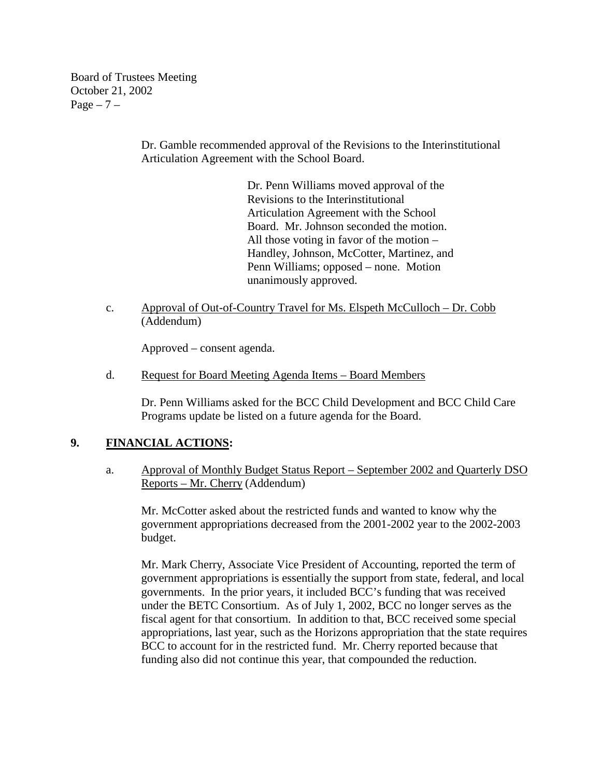Board of Trustees Meeting October 21, 2002  $Page - 7 -$ 

> Dr. Gamble recommended approval of the Revisions to the Interinstitutional Articulation Agreement with the School Board.

> > Dr. Penn Williams moved approval of the Revisions to the Interinstitutional Articulation Agreement with the School Board. Mr. Johnson seconded the motion. All those voting in favor of the motion – Handley, Johnson, McCotter, Martinez, and Penn Williams; opposed – none. Motion unanimously approved.

c. Approval of Out-of-Country Travel for Ms. Elspeth McCulloch – Dr. Cobb (Addendum)

Approved – consent agenda.

d. Request for Board Meeting Agenda Items – Board Members

Dr. Penn Williams asked for the BCC Child Development and BCC Child Care Programs update be listed on a future agenda for the Board.

# **9. FINANCIAL ACTIONS:**

a. Approval of Monthly Budget Status Report – September 2002 and Quarterly DSO Reports – Mr. Cherry (Addendum)

 Mr. McCotter asked about the restricted funds and wanted to know why the government appropriations decreased from the 2001-2002 year to the 2002-2003 budget.

Mr. Mark Cherry, Associate Vice President of Accounting, reported the term of government appropriations is essentially the support from state, federal, and local governments. In the prior years, it included BCC's funding that was received under the BETC Consortium. As of July 1, 2002, BCC no longer serves as the fiscal agent for that consortium. In addition to that, BCC received some special appropriations, last year, such as the Horizons appropriation that the state requires BCC to account for in the restricted fund. Mr. Cherry reported because that funding also did not continue this year, that compounded the reduction.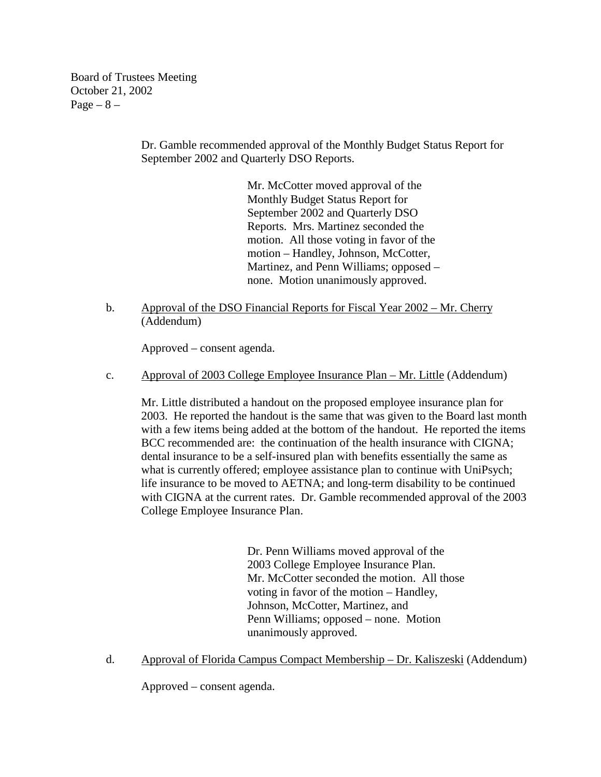Board of Trustees Meeting October 21, 2002  $Page - 8 -$ 

> Dr. Gamble recommended approval of the Monthly Budget Status Report for September 2002 and Quarterly DSO Reports.

> > Mr. McCotter moved approval of the Monthly Budget Status Report for September 2002 and Quarterly DSO Reports. Mrs. Martinez seconded the motion. All those voting in favor of the motion – Handley, Johnson, McCotter, Martinez, and Penn Williams; opposed – none. Motion unanimously approved.

b. Approval of the DSO Financial Reports for Fiscal Year 2002 – Mr. Cherry (Addendum)

Approved – consent agenda.

c. Approval of 2003 College Employee Insurance Plan – Mr. Little (Addendum)

Mr. Little distributed a handout on the proposed employee insurance plan for 2003. He reported the handout is the same that was given to the Board last month with a few items being added at the bottom of the handout. He reported the items BCC recommended are: the continuation of the health insurance with CIGNA; dental insurance to be a self-insured plan with benefits essentially the same as what is currently offered; employee assistance plan to continue with UniPsych; life insurance to be moved to AETNA; and long-term disability to be continued with CIGNA at the current rates. Dr. Gamble recommended approval of the 2003 College Employee Insurance Plan.

> Dr. Penn Williams moved approval of the 2003 College Employee Insurance Plan. Mr. McCotter seconded the motion. All those voting in favor of the motion – Handley, Johnson, McCotter, Martinez, and Penn Williams; opposed – none. Motion unanimously approved.

d. Approval of Florida Campus Compact Membership – Dr. Kaliszeski (Addendum)

Approved – consent agenda.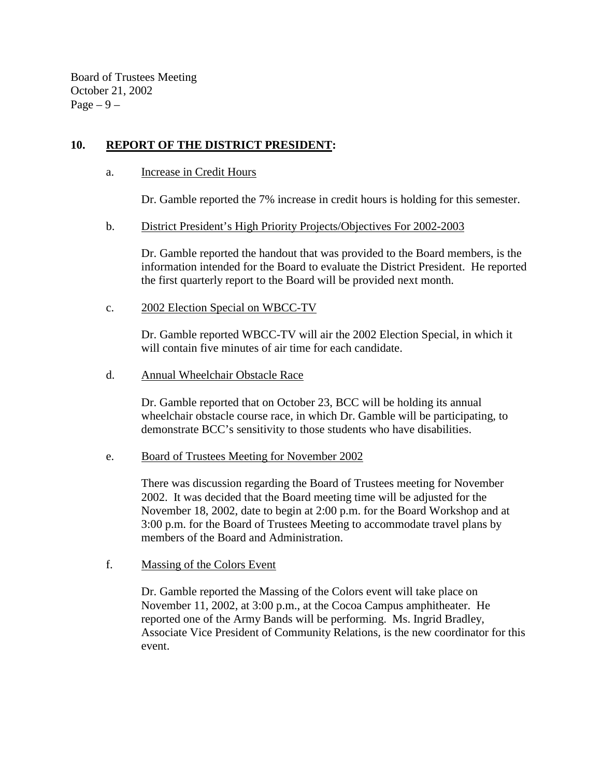Board of Trustees Meeting October 21, 2002 Page  $-9-$ 

# **10. REPORT OF THE DISTRICT PRESIDENT:**

a. Increase in Credit Hours

Dr. Gamble reported the 7% increase in credit hours is holding for this semester.

b. District President's High Priority Projects/Objectives For 2002-2003

Dr. Gamble reported the handout that was provided to the Board members, is the information intended for the Board to evaluate the District President. He reported the first quarterly report to the Board will be provided next month.

c. 2002 Election Special on WBCC-TV

Dr. Gamble reported WBCC-TV will air the 2002 Election Special, in which it will contain five minutes of air time for each candidate.

d. Annual Wheelchair Obstacle Race

Dr. Gamble reported that on October 23, BCC will be holding its annual wheelchair obstacle course race, in which Dr. Gamble will be participating, to demonstrate BCC's sensitivity to those students who have disabilities.

### e. Board of Trustees Meeting for November 2002

There was discussion regarding the Board of Trustees meeting for November 2002. It was decided that the Board meeting time will be adjusted for the November 18, 2002, date to begin at 2:00 p.m. for the Board Workshop and at 3:00 p.m. for the Board of Trustees Meeting to accommodate travel plans by members of the Board and Administration.

f. Massing of the Colors Event

Dr. Gamble reported the Massing of the Colors event will take place on November 11, 2002, at 3:00 p.m., at the Cocoa Campus amphitheater. He reported one of the Army Bands will be performing. Ms. Ingrid Bradley, Associate Vice President of Community Relations, is the new coordinator for this event.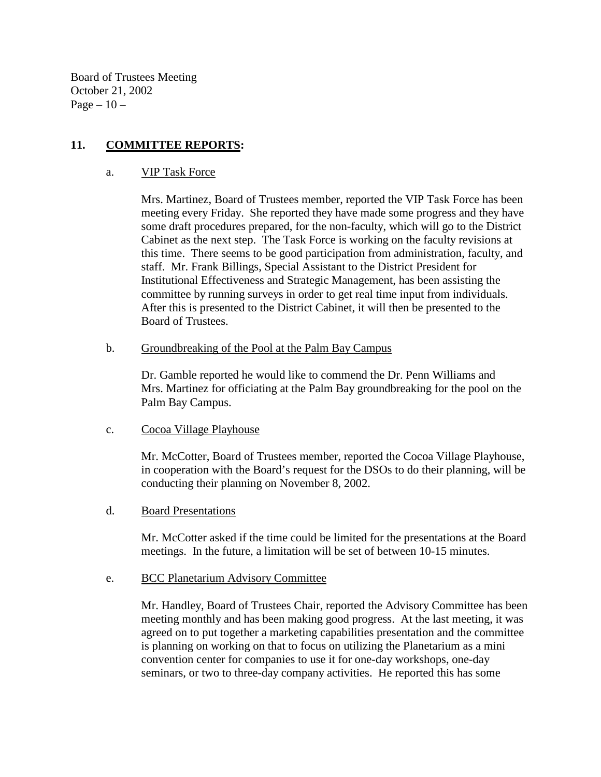Board of Trustees Meeting October 21, 2002 Page  $-10-$ 

## **11. COMMITTEE REPORTS:**

#### a. VIP Task Force

Mrs. Martinez, Board of Trustees member, reported the VIP Task Force has been meeting every Friday. She reported they have made some progress and they have some draft procedures prepared, for the non-faculty, which will go to the District Cabinet as the next step. The Task Force is working on the faculty revisions at this time. There seems to be good participation from administration, faculty, and staff. Mr. Frank Billings, Special Assistant to the District President for Institutional Effectiveness and Strategic Management, has been assisting the committee by running surveys in order to get real time input from individuals. After this is presented to the District Cabinet, it will then be presented to the Board of Trustees.

#### b. Groundbreaking of the Pool at the Palm Bay Campus

Dr. Gamble reported he would like to commend the Dr. Penn Williams and Mrs. Martinez for officiating at the Palm Bay groundbreaking for the pool on the Palm Bay Campus.

### c. Cocoa Village Playhouse

Mr. McCotter, Board of Trustees member, reported the Cocoa Village Playhouse, in cooperation with the Board's request for the DSOs to do their planning, will be conducting their planning on November 8, 2002.

### d. Board Presentations

Mr. McCotter asked if the time could be limited for the presentations at the Board meetings. In the future, a limitation will be set of between 10-15 minutes.

### e. BCC Planetarium Advisory Committee

Mr. Handley, Board of Trustees Chair, reported the Advisory Committee has been meeting monthly and has been making good progress. At the last meeting, it was agreed on to put together a marketing capabilities presentation and the committee is planning on working on that to focus on utilizing the Planetarium as a mini convention center for companies to use it for one-day workshops, one-day seminars, or two to three-day company activities. He reported this has some